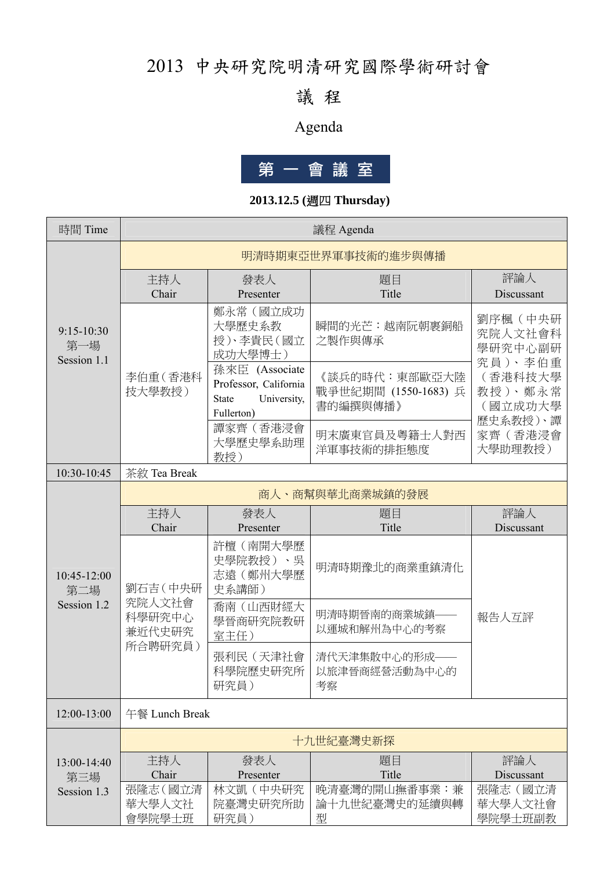## 2013 中央研究院明清研究國際學術研討會

### 議 程

## Agenda



### **2013.12.5 (**週四 **Thursday)**

| 時間 Time                            | 議程 Agenda                                         |                                                                                      |                                                   |                                          |  |
|------------------------------------|---------------------------------------------------|--------------------------------------------------------------------------------------|---------------------------------------------------|------------------------------------------|--|
|                                    | 明清時期東亞世界軍事技術的進步與傳播                                |                                                                                      |                                                   |                                          |  |
|                                    | 主持人<br>Chair                                      | 發表人<br>Presenter                                                                     | 題目<br>Title                                       | 評論人<br>Discussant                        |  |
| $9:15-10:30$<br>第一場<br>Session 1.1 |                                                   | 鄭永常(國立成功<br>大學歷史系教<br>授)、李貴民(國立<br>成功大學博士)                                           | 瞬間的光芒:越南阮朝裹銅船<br>之製作與傳承                           | 劉序楓(中央研<br>究院人文社會科<br>學研究中心副研            |  |
|                                    | 李伯重(香港科<br>技大學教授)                                 | 孫來臣 (Associate<br>Professor, California<br>University,<br><b>State</b><br>Fullerton) | 《談兵的時代:東部歐亞大陸<br>戰爭世紀期間 (1550-1683) 兵<br>書的編撰與傳播》 | 究員)、李伯重<br>(香港科技大學<br>教授)、鄭永常<br>(國立成功大學 |  |
|                                    |                                                   | 譚家齊 (香港浸會<br>大學歷史學系助理<br>教授)                                                         | 明末廣東官員及粵籍士人對西<br>洋軍事技術的排拒態度                       | 歷史系教授)、譚<br>家齊(香港浸會<br>大學助理教授)           |  |
| 10:30-10:45                        | 茶敘 Tea Break                                      |                                                                                      |                                                   |                                          |  |
|                                    | 商人、商幫與華北商業城鎮的發展                                   |                                                                                      |                                                   |                                          |  |
|                                    | 主持人<br>Chair                                      | 發表人<br>Presenter                                                                     | 題目<br>Title                                       | 評論人<br>Discussant                        |  |
| 10:45-12:00<br>第二場                 | 劉石吉 (中央研<br>究院人文社會<br>科學研究中心<br>兼近代史研究<br>所合聘研究員) | 許檀(南開大學歷<br>史學院教授)、吳<br>志遠(鄭州大學歷<br>史系講師)                                            | 明清時期豫北的商業重鎮清化                                     |                                          |  |
| Session 1.2                        |                                                   | 喬南(山西財經大<br>學晉商研究院教研<br>室主任)                                                         | 明清時期晉南的商業城鎮-<br>以運城和解州為中心的考察                      | 報告人互評                                    |  |
|                                    |                                                   | 張利民 (天津社會<br>科學院歷史研究所<br>研究員)                                                        | 清代天津集散中心的形成-<br>以旅津晉商經營活動為中心的<br>考察               |                                          |  |
| 12:00-13:00                        | 午餐 Lunch Break                                    |                                                                                      |                                                   |                                          |  |
|                                    |                                                   |                                                                                      | 十九世紀臺灣史新探                                         |                                          |  |
| 13:00-14:40                        | 主持人                                               | 發表人                                                                                  | 題目                                                | 評論人                                      |  |
| 第三場                                | Chair                                             | Presenter                                                                            | Title                                             | Discussant                               |  |
| Session 1.3                        | 張隆志 (國立清                                          | 林文凱(中央研究                                                                             | 晚清臺灣的開山撫番事業:兼                                     | 張隆志(國立清                                  |  |
|                                    | 華大學人文社<br>會學院學士班                                  | 院臺灣史研究所助<br>研究員)                                                                     | 論十九世紀臺灣史的延續與轉<br>型                                | 華大學人文社會<br>學院學士班副教                       |  |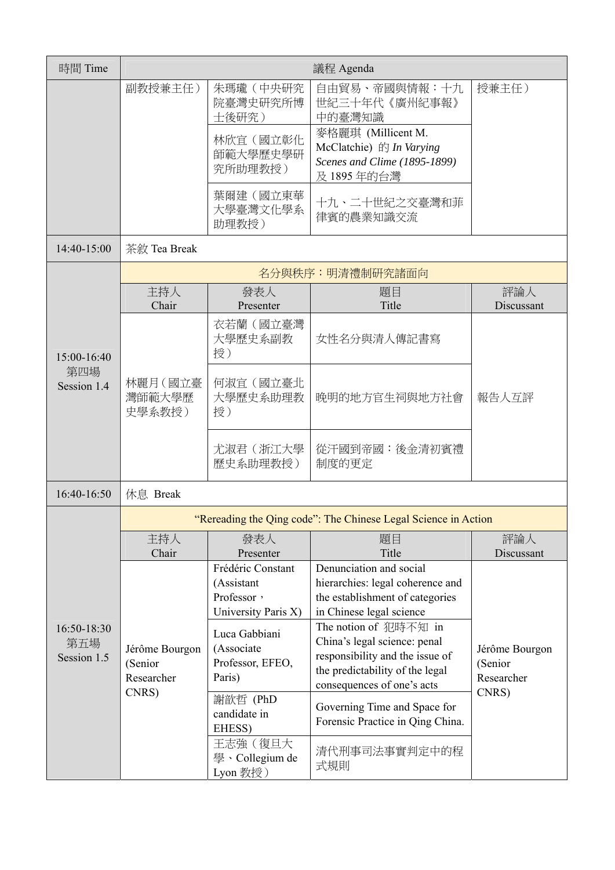| 時間 Time                           |                                                  |                                                                                                                                                               | 議程 Agenda                                                                                                                                                                                                                                                                                                                                                   |                                                  |
|-----------------------------------|--------------------------------------------------|---------------------------------------------------------------------------------------------------------------------------------------------------------------|-------------------------------------------------------------------------------------------------------------------------------------------------------------------------------------------------------------------------------------------------------------------------------------------------------------------------------------------------------------|--------------------------------------------------|
|                                   | 副教授兼主任)                                          | 朱瑪瓏 (中央研究<br>院臺灣史研究所博<br>士後研究)                                                                                                                                | 自由貿易、帝國與情報:十九<br>世紀三十年代《廣州紀事報》<br>中的臺灣知識                                                                                                                                                                                                                                                                                                                    | 授兼主任)                                            |
|                                   |                                                  | 林欣宜(國立彰化<br>師範大學歷史學研<br>究所助理教授)                                                                                                                               | 麥格麗琪 (Millicent M.<br>McClatchie) 的 In Varying<br>Scenes and Clime (1895-1899)<br>及 1895 年的台灣                                                                                                                                                                                                                                                               |                                                  |
|                                   |                                                  | 葉爾建(國立東華<br>大學臺灣文化學系<br>助理教授)                                                                                                                                 | 十九、二十世紀之交臺灣和菲<br>律賓的農業知識交流                                                                                                                                                                                                                                                                                                                                  |                                                  |
| 14:40-15:00                       | 茶敘 Tea Break                                     |                                                                                                                                                               |                                                                                                                                                                                                                                                                                                                                                             |                                                  |
|                                   |                                                  |                                                                                                                                                               | 名分與秩序:明清禮制研究諸面向                                                                                                                                                                                                                                                                                                                                             |                                                  |
|                                   | 主持人<br>Chair                                     | 發表人<br>Presenter                                                                                                                                              | 題目<br>Title                                                                                                                                                                                                                                                                                                                                                 | 評論人<br>Discussant                                |
| 15:00-16:40                       |                                                  | 衣若蘭(國立臺灣<br>大學歷史系副教<br>授)                                                                                                                                     | 女性名分與清人傳記書寫                                                                                                                                                                                                                                                                                                                                                 |                                                  |
| 第四場<br>Session 1.4                | 林麗月 (國立臺<br>灣師範大學歷<br>史學系教授)                     | 何淑宜(國立臺北<br>大學歷史系助理教<br>授)                                                                                                                                    | 晚明的地方官生祠與地方社會                                                                                                                                                                                                                                                                                                                                               | 報告人互評                                            |
|                                   |                                                  | 尤淑君(浙江大學<br>歷史系助理教授)                                                                                                                                          | 從汗國到帝國:後金清初賓禮<br>制度的更定                                                                                                                                                                                                                                                                                                                                      |                                                  |
| 16:40-16:50                       | 休息 Break                                         |                                                                                                                                                               |                                                                                                                                                                                                                                                                                                                                                             |                                                  |
|                                   |                                                  |                                                                                                                                                               | "Rereading the Qing code": The Chinese Legal Science in Action                                                                                                                                                                                                                                                                                              |                                                  |
|                                   | 主持人<br>Chair                                     | 發表人<br>Presenter                                                                                                                                              | 題目<br>Title                                                                                                                                                                                                                                                                                                                                                 | 評論人<br>Discussant                                |
| 16:50-18:30<br>第五場<br>Session 1.5 | Jérôme Bourgon<br>(Senior<br>Researcher<br>CNRS) | Frédéric Constant<br>(Assistant<br>Professor,<br>University Paris X)<br>Luca Gabbiani<br>(Associate<br>Professor, EFEO,<br>Paris)<br>謝歆哲 (PhD<br>candidate in | Denunciation and social<br>hierarchies: legal coherence and<br>the establishment of categories<br>in Chinese legal science<br>The notion of 犯時不知 in<br>China's legal science: penal<br>responsibility and the issue of<br>the predictability of the legal<br>consequences of one's acts<br>Governing Time and Space for<br>Forensic Practice in Qing China. | Jérôme Bourgon<br>(Senior<br>Researcher<br>CNRS) |
|                                   |                                                  | EHESS)<br>王志強(復旦大<br>學、Collegium de<br>Lyon 教授)                                                                                                               | 清代刑事司法事實判定中的程<br>式規則                                                                                                                                                                                                                                                                                                                                        |                                                  |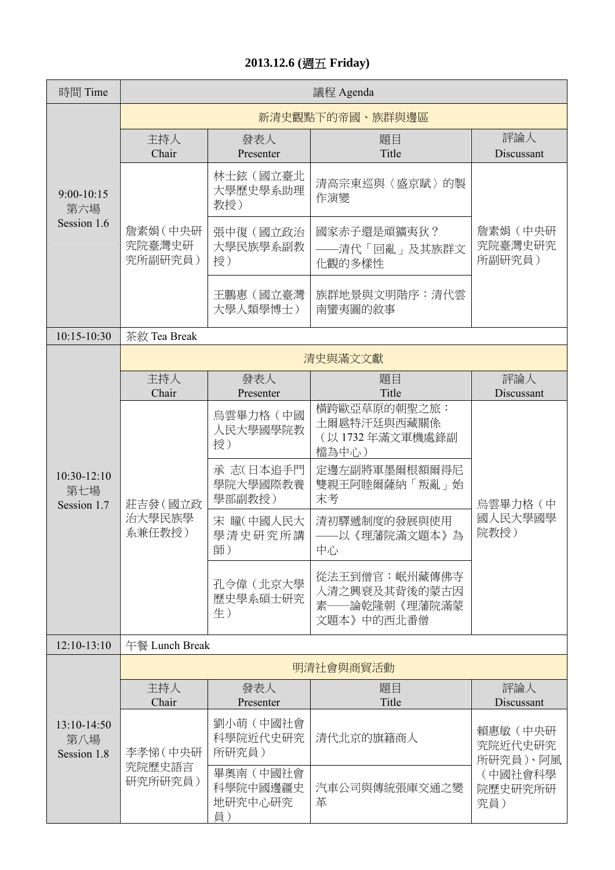#### **2013.12.6 (**週五 **Friday)**

| 時間 Time                             | 議程 Agenda                     |                                                                                      |                                                                                                                                 |                                                             |  |
|-------------------------------------|-------------------------------|--------------------------------------------------------------------------------------|---------------------------------------------------------------------------------------------------------------------------------|-------------------------------------------------------------|--|
|                                     | 新清史觀點下的帝國、族群與邊區               |                                                                                      |                                                                                                                                 |                                                             |  |
| $9:00 - 10:15$<br>第六場               | 主持人<br>Chair                  | 發表人<br>Presenter                                                                     | 題目<br>Title                                                                                                                     | 評論人<br>Discussant                                           |  |
|                                     |                               | 林士鉉(國立臺北<br>大學歷史學系助理<br>教授)                                                          | 清高宗東巡與〈盛京賦〉的製<br>作演變                                                                                                            |                                                             |  |
| Session 1.6                         | 詹素娟 (中央研<br>究院臺灣史研<br>究所副研究員) | 張中復(國立政治<br>大學民族學系副教<br>授)                                                           | 國家赤子還是頑獷夷狄?<br>——清代「回亂」及其族群文<br>化觀的多樣性                                                                                          | 詹素娟 (中央研<br>究院臺灣史研究<br>所副研究員)                               |  |
|                                     |                               | 王鵬惠(國立臺灣<br>大學人類學博士)                                                                 | 族群地景與文明階序:清代雲<br>南蠻夷圖的敘事                                                                                                        |                                                             |  |
| 10:15-10:30                         | 茶敘 Tea Break                  |                                                                                      |                                                                                                                                 |                                                             |  |
|                                     |                               |                                                                                      | 清史與滿文文獻                                                                                                                         |                                                             |  |
|                                     | 主持人<br>Chair                  | 發表人<br>Presenter                                                                     | 題目<br>Title                                                                                                                     | 評論人<br>Discussant                                           |  |
| $10:30-12:10$<br>第七場<br>Session 1.7 | 莊吉發(國立政<br>治大學民族學<br>系兼任教授)   | 鳥雲畢力格(中國<br>人民大學國學院教<br>授)<br>承志(日本追手門<br>學院大學國際教養<br>學部副教授)<br>宋 瞳(中國人民大<br>學清史研究所講 | 横跨歐亞草原的朝聖之旅:<br>土爾扈特汗廷與西藏關係<br>(以1732年滿文軍機處錄副<br>檔為中心)<br>定邊左副將軍墨爾根額爾得尼<br>雙親王阿睦爾薩納「叛亂」始<br>末考<br>清初驛遞制度的發展與使用<br>——以《理藩院滿文題本》為 | 鳥雲畢力格(中<br>國人民大學國學<br>院教授)                                  |  |
|                                     |                               | 師)<br>孔令偉(北京大學<br>歷史學系碩士研究<br>生)                                                     | 中心<br>從法王到僧官:岷州藏傳佛寺<br>入清之興衰及其背後的蒙古因<br>-論乾隆朝《理藩院滿蒙<br>素<br>文題本》中的西北番僧                                                          |                                                             |  |
| $12:10-13:10$                       | 午餐 Lunch Break                |                                                                                      |                                                                                                                                 |                                                             |  |
|                                     |                               |                                                                                      | 明清社會與商貿活動                                                                                                                       |                                                             |  |
|                                     | 主持人<br>Chair                  | 發表人<br>Presenter                                                                     | 題目<br>Title                                                                                                                     | 評論人<br>Discussant                                           |  |
| 13:10-14:50<br>第八場<br>Session 1.8   | 李孝悌 (中央研<br>究院歷史語言            | 劉小萌(中國社會<br>科學院近代史研究<br>所研究員)                                                        | 清代北京的旗籍商人                                                                                                                       | 賴惠敏(中央研<br>究院近代史研究<br>所研究員)、阿風<br>(中國社會科學<br>院歷史研究所研<br>究員) |  |
|                                     | 研究所研究員)                       | 畢奧南(中國社會<br>科學院中國邊疆史<br>地研究中心研究<br>員)                                                | 汽車公司與傳統張庫交通之變<br>革                                                                                                              |                                                             |  |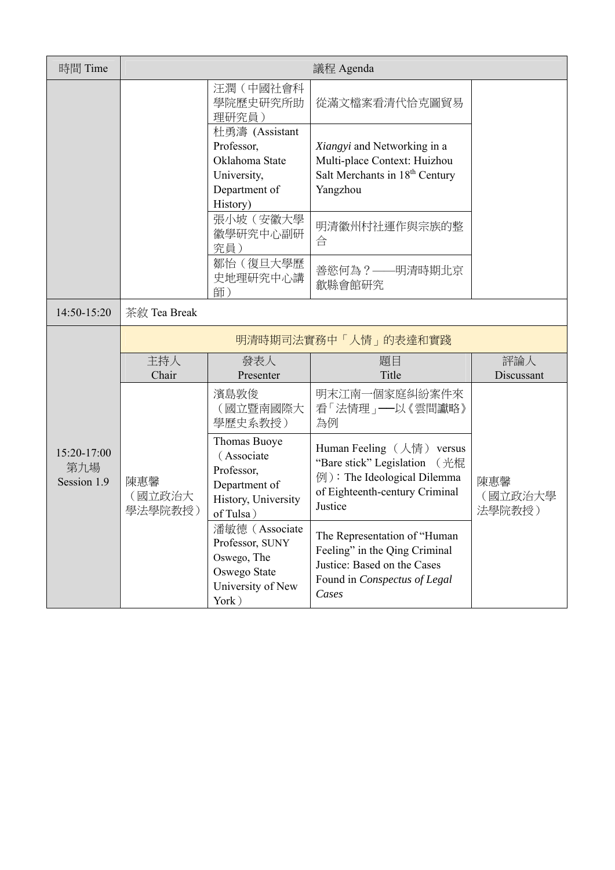| 時間 Time                           |                          |                                                                                                | 議程 Agenda                                                                                                                             |                          |  |
|-----------------------------------|--------------------------|------------------------------------------------------------------------------------------------|---------------------------------------------------------------------------------------------------------------------------------------|--------------------------|--|
|                                   |                          | 汪潤(中國社會科<br>學院歷史研究所助<br>理研究員)                                                                  | 從滿文檔案看清代恰克圖貿易                                                                                                                         |                          |  |
|                                   |                          | 杜勇濤 (Assistant<br>Professor,<br>Oklahoma State<br>University,<br>Department of<br>History)     | Xiangyi and Networking in a<br>Multi-place Context: Huizhou<br>Salt Merchants in 18 <sup>th</sup> Century<br>Yangzhou                 |                          |  |
|                                   |                          | 張小坡(安徽大學<br>徽學研究中心副研<br>究員)                                                                    | 明清徽州村社運作與宗族的整<br>合                                                                                                                    |                          |  |
|                                   |                          | 鄒怡(復旦大學歷<br>史地理研究中心講<br>師)                                                                     | 善慾何為?——明清時期北京<br>歙縣會館研究                                                                                                               |                          |  |
| 14:50-15:20                       | 茶敘 Tea Break             |                                                                                                |                                                                                                                                       |                          |  |
|                                   | 明清時期司法實務中「人情」的表達和實踐      |                                                                                                |                                                                                                                                       |                          |  |
|                                   | 主持人<br>Chair             | 發表人<br>Presenter                                                                               | 題目<br>Title                                                                                                                           | 評論人<br>Discussant        |  |
|                                   |                          | 濱島敦俊<br>(國立暨南國際大<br>學歷史系教授)                                                                    | 明末江南一個家庭糾紛案件來<br>看「法情理」 ——以《雲間讞略》<br>為例                                                                                               |                          |  |
| 15:20-17:00<br>第九場<br>Session 1.9 | 陳惠馨<br>(國立政治大<br>學法學院教授) | Thomas Buoye<br>(Associate<br>Professor,<br>Department of<br>History, University<br>of Tulsa)  | Human Feeling (人情) versus<br>"Bare stick" Legislation (光棍<br>例): The Ideological Dilemma<br>of Eighteenth-century Criminal<br>Justice | 陳惠馨<br>(國立政治大學<br>法學院教授) |  |
|                                   |                          | 潘敏德 (Associate<br>Professor, SUNY<br>Oswego, The<br>Oswego State<br>University of New<br>York) | The Representation of "Human<br>Feeling" in the Qing Criminal<br>Justice: Based on the Cases<br>Found in Conspectus of Legal<br>Cases |                          |  |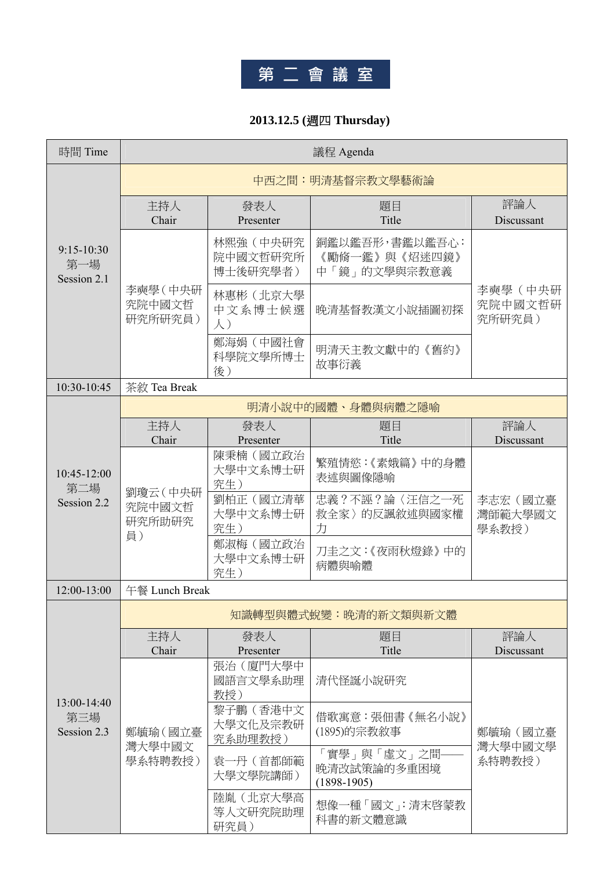

#### **2013.12.5 (**週四 **Thursday)**

| 時間 Time                              | 議程 Agenda                          |                                    |                                                 |                              |  |
|--------------------------------------|------------------------------------|------------------------------------|-------------------------------------------------|------------------------------|--|
|                                      |                                    | 中西之間:明清基督宗教文學藝術論                   |                                                 |                              |  |
|                                      | 主持人<br>Chair                       | 發表人<br>Presenter                   | 題目<br>Title                                     | 評論人<br>Discussant            |  |
| $9:15 - 10:30$<br>第一場<br>Session 2.1 |                                    | 林熙強 (中央研究<br>院中國文哲研究所<br>博士後研究學者)  | 銅鑑以鑑吾形,書鑑以鑑吾心:<br>《勵脩一鑑》與《炤迷四鏡》<br>中「鏡」的文學與宗教意義 |                              |  |
|                                      | 李奭學 (中央研<br>究院中國文哲<br>研究所研究員)      | 林惠彬(北京大學<br>中文系博士候選<br>$\lambda$ ) | 晚清基督教漢文小說插圖初探                                   | 李奭學(中央研<br>究院中國文哲研<br>究所研究員) |  |
|                                      |                                    | 鄭海娟(中國社會<br>科學院文學所博士<br>後)         | 明清天主教文獻中的《舊約》<br>故事衍義                           |                              |  |
| 10:30-10:45                          | 茶敘 Tea Break                       |                                    |                                                 |                              |  |
|                                      |                                    |                                    | 明清小說中的國體、身體與病體之隱喻                               |                              |  |
|                                      | 主持人<br>Chair                       | 發表人<br>Presenter                   | 題目<br>Title                                     | 評論人<br>Discussant            |  |
| 10:45-12:00<br>第二場                   | 劉瓊云 (中央研<br>究院中國文哲<br>研究所助研究<br>員) | 陳秉楠(國立政治<br>大學中文系博士研<br>究生)        | 繁殖情慾:《素娥篇》中的身體<br>表述與圖像隱喻                       |                              |  |
| Session 2.2                          |                                    | 劉柏正(國立清華<br>大學中文系博士研<br>究生)        | 忠義?不誣?論〈汪信之一死<br>救全家〉的反諷敘述與國家權<br>力             | 李志宏(國立臺<br>灣師範大學國文<br>學系教授)  |  |
|                                      |                                    | 鄭淑梅(國立政治<br>大學中文系博士研<br>究生)        | 刀圭之文:《夜雨秋燈錄》中的<br>病體與喻體                         |                              |  |
| 12:00-13:00                          | 午餐 Lunch Break                     |                                    |                                                 |                              |  |
|                                      |                                    |                                    | 知識轉型與體式蛻變:晚清的新文類與新文體                            |                              |  |
|                                      | 主持人<br>Chair                       | 發表人<br>Presenter                   | 題目<br>Title                                     | 評論人<br>Discussant            |  |
|                                      |                                    | 張治(廈門大學中<br>國語言文學系助理<br>教授)        | 清代怪誕小說研究                                        |                              |  |
| $13:00-14:40$<br>第三場<br>Session 2.3  | 鄭毓瑜 (國立臺<br>灣大學中國文                 | 黎子鵬(香港中文<br>大學文化及宗教研<br>究系助理教授)    | 借歌寓意:張佃書《無名小說》<br>(1895)的宗教敘事                   | 鄭毓瑜(國立臺<br>灣大學中國文學<br>系特聘教授) |  |
|                                      | 學系特聘教授)                            | 袁一丹(首都師範<br>大學文學院講師)               | 「實學」與「虛文」之間-<br>晚清改試策論的多重困境<br>$(1898-1905)$    |                              |  |
|                                      |                                    | 陸胤(北京大學高<br>等人文研究院助理<br>研究員)       | 想像一種「國文」:清末啓蒙教<br>科書的新文體意識                      |                              |  |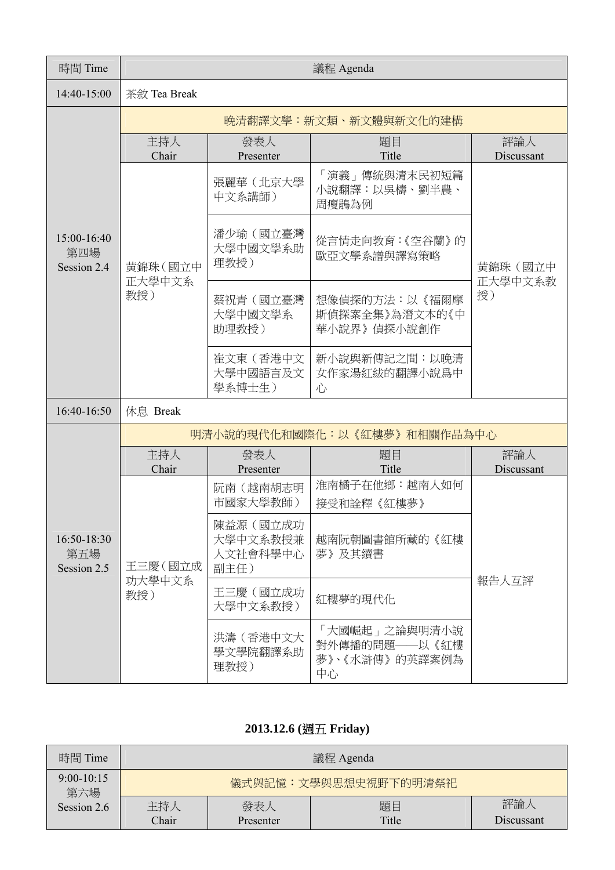| 時間 Time                           | 議程 Agenda     |                                                                                |                                                        |                   |  |
|-----------------------------------|---------------|--------------------------------------------------------------------------------|--------------------------------------------------------|-------------------|--|
| 14:40-15:00                       | 茶敘 Tea Break  |                                                                                |                                                        |                   |  |
|                                   |               |                                                                                | 晚清翻譯文學:新文類、新文體與新文化的建構                                  |                   |  |
|                                   | 主持人<br>Chair  | 發表人<br>Presenter                                                               | 題目<br>Title                                            | 評論人<br>Discussant |  |
|                                   |               | 張麗華(北京大學<br>中文系講師)                                                             | 「演義」傳統與清末民初短篇<br>小說翻譯:以吳檮、劉半農、<br>周瘦鵑為例                |                   |  |
| 15:00-16:40<br>第四場<br>Session 2.4 | 黄錦珠(國立中       | 潘少瑜(國立臺灣<br>大學中國文學系助<br>理教授)                                                   | 從言情走向教育:《空谷蘭》的<br>歐亞文學系譜與譯寫策略                          | 黄錦珠 (國立中          |  |
|                                   | 正大學中文系<br>教授) | 蔡祝青(國立臺灣<br>想像偵探的方法:以《福爾摩<br>大學中國文學系<br>斯偵探案全集》為潛文本的《中<br>助理教授)<br>華小說界》偵探小說創作 | 正大學中文系教<br>授)                                          |                   |  |
|                                   |               | 崔文東(香港中文<br>大學中國語言及文<br>學系博士生)                                                 | 新小說與新傳記之間:以晚清<br>女作家湯紅紱的翻譯小說爲中<br>心                    |                   |  |
| 16:40-16:50                       | 休息 Break      |                                                                                |                                                        |                   |  |
|                                   |               |                                                                                | 明清小說的現代化和國際化:以《紅樓夢》和相關作品為中心                            |                   |  |
|                                   | 主持人<br>Chair  | 發表人<br>Presenter                                                               | 題目<br>Title                                            | 評論人<br>Discussant |  |
|                                   | 王三慶(國立成       | 阮南(越南胡志明<br>市國家大學教師)                                                           | 淮南橘子在他鄉:越南人如何<br>接受和詮釋《紅樓夢》                            |                   |  |
| 16:50-18:30<br>第五場<br>Session 2.5 |               | 陳益源(國立成功<br>大學中文系教授兼<br>人文社會科學中心<br>副主任)                                       | 越南阮朝圖書館所藏的《紅樓<br>夢》及其續書                                |                   |  |
|                                   | 功大學中文系<br>教授) | 王三慶(國立成功<br>大學中文系教授)                                                           | 紅樓夢的現代化                                                | 報告人互評             |  |
|                                   |               | 洪濤(香港中文大<br>學文學院翻譯系助<br>理教授)                                                   | 「大國崛起」之論與明清小說<br>對外傳播的問題——以《紅樓<br>夢》、《水滸傳》的英譯案例為<br>中心 |                   |  |

#### **2013.12.6 (**週五 **Friday)**

| 時間 Time             | 議程 Agenda    |                      |             |                   |  |
|---------------------|--------------|----------------------|-------------|-------------------|--|
| $9:00-10:15$<br>第六場 |              | 儀式與記憶:文學與思想史視野下的明清祭祀 |             |                   |  |
| Session 2.6         | 主持人<br>Chair | 發表人<br>Presenter     | 題目<br>Title | 評論人<br>Discussant |  |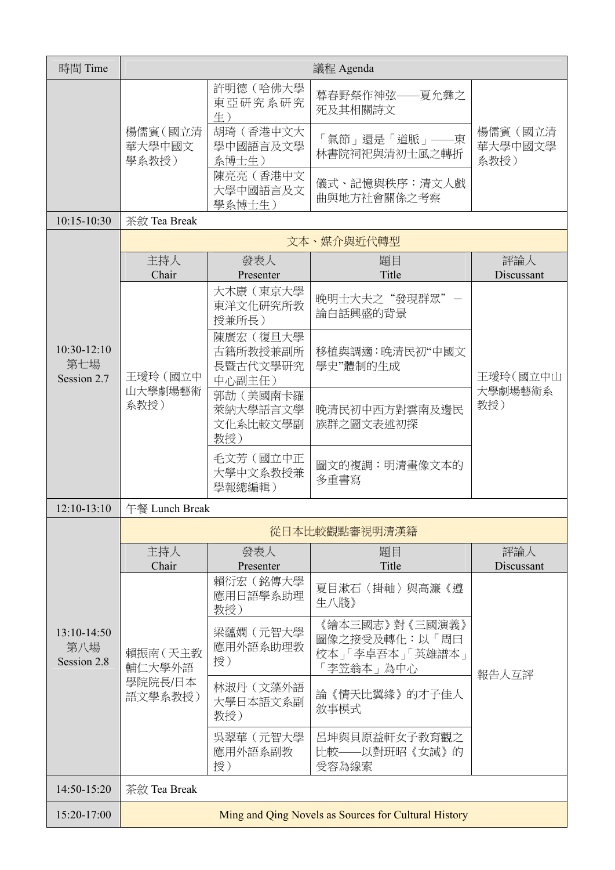| 時間 Time                             | 議程 Agenda                   |                                            |                                                                 |                            |
|-------------------------------------|-----------------------------|--------------------------------------------|-----------------------------------------------------------------|----------------------------|
|                                     |                             | 許明德(哈佛大學<br>東亞研究系研究<br>生)                  | 暮春野祭作神弦——夏允彝之<br>死及其相關詩文                                        |                            |
|                                     | 楊儒賓 (國立清<br>華大學中國文<br>學系教授) | 胡琦(香港中文大<br>學中國語言及文學<br>系博士生)              | 「氣節」還是「道脈」——東<br>林書院祠祀與清初士風之轉折                                  | 楊儒賓(國立清<br>華大學中國文學<br>系教授) |
|                                     |                             | 陳亮亮(香港中文<br>大學中國語言及文<br>學系博士生)             | 儀式、記憶與秩序:清文人戲<br>曲與地方社會關係之考察                                    |                            |
| $10:15 - 10:30$                     | 茶敘 Tea Break                |                                            |                                                                 |                            |
|                                     |                             |                                            | 文本、媒介與近代轉型                                                      |                            |
|                                     | 主持人<br>Chair                | 發表人<br>Presenter                           | 題目<br>Title                                                     | 評論人<br>Discussant          |
|                                     |                             | 大木康(東京大學<br>東洋文化研究所教<br>授兼所長)              | 晚明士大夫之"發現群眾"一<br>論白話興盛的背景                                       |                            |
| $10:30-12:10$<br>第七場<br>Session 2.7 | 王璦玲(國立中<br>山大學劇場藝術<br>系教授)  | 陳廣宏(復旦大學<br>古籍所教授兼副所<br>長暨古代文學研究<br>中心副主任) | 移植與調適:晚清民初"中國文<br>學史"體制的生成                                      | 王璦玲(國立中山<br>大學劇場藝術系<br>教授) |
|                                     |                             | 郭劼 (美國南卡羅<br>萊納大學語言文學<br>文化系比較文學副<br>教授)   | 晚清民初中西方對雲南及邊民<br>族群之圖文表述初探                                      |                            |
|                                     |                             | 毛文芳(國立中正<br>大學中文系教授兼<br>學報總編輯)             | 圖文的複調:明清畫像文本的<br>多重書寫                                           |                            |
| $12:10-13:10$                       | 午餐 Lunch Break              |                                            |                                                                 |                            |
|                                     |                             |                                            | 從日本比較觀點審視明清漢籍                                                   |                            |
|                                     | 主持人<br>Chair                | 發表人<br>Presenter                           | 題目<br>Title                                                     | 評論人<br>Discussant          |
|                                     |                             | 賴衍宏(銘傳大學<br>應用日語學系助理<br>教授)                | 夏目漱石〈掛軸〉與高濂《遵<br>生八牋》                                           |                            |
| $13:10-14:50$<br>第八場<br>Session 2.8 | 賴振南 (天主教<br>輔仁大學外語          | 梁蘊嫻(元智大學<br>應用外語系助理教<br>授)                 | 《繪本三國志》對《三國演義》<br>圖像之接受及轉化:以「周曰<br>校本」「李卓吾本」「英雄譜本」<br>「李笠翁本」為中心 | 報告人互評                      |
|                                     | 學院院長/日本<br>語文學系教授)          | 林淑丹(文藻外語<br>大學日本語文系副<br>教授)                | 論《情天比翼緣》的才子佳人<br>敘事模式                                           |                            |
|                                     |                             | 吳翠華(元智大學<br>應用外語系副教<br>授)                  | 呂坤與貝原益軒女子教育觀之<br>比較——以對班昭《女誡》的<br>受容為線索                         |                            |
| 14:50-15:20                         | 茶敘 Tea Break                |                                            |                                                                 |                            |
| 15:20-17:00                         |                             |                                            | Ming and Qing Novels as Sources for Cultural History            |                            |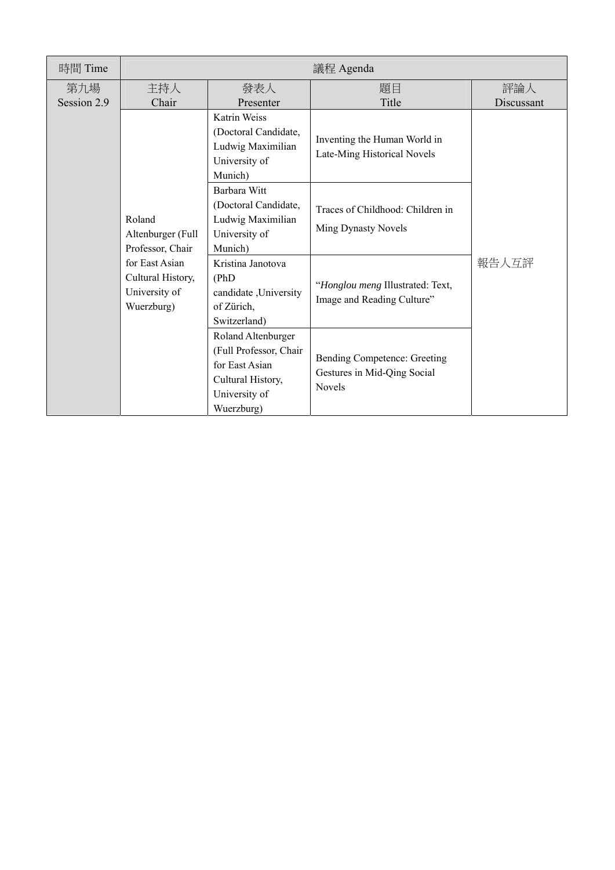| 時間 Time            | 議程 Agenda                                                          |                                                                                                                    |                                                                       |                   |  |
|--------------------|--------------------------------------------------------------------|--------------------------------------------------------------------------------------------------------------------|-----------------------------------------------------------------------|-------------------|--|
| 第九場<br>Session 2.9 | 主持人<br>Chair                                                       | 發表人<br>Presenter                                                                                                   | 題目<br>Title                                                           | 評論人<br>Discussant |  |
|                    |                                                                    | Katrin Weiss<br>(Doctoral Candidate,<br>Ludwig Maximilian<br>University of<br>Munich)                              | Inventing the Human World in<br>Late-Ming Historical Novels           |                   |  |
|                    | Roland<br>Altenburger (Full<br>Professor, Chair                    | Barbara Witt<br>(Doctoral Candidate,<br>Ludwig Maximilian<br>University of<br>Munich)                              | Traces of Childhood: Children in<br><b>Ming Dynasty Novels</b>        |                   |  |
|                    | for East Asian<br>Cultural History,<br>University of<br>Wuerzburg) | Kristina Janotova<br>(PhD)<br>candidate , University<br>of Zürich,<br>Switzerland)                                 | "Honglou meng Illustrated: Text,<br>Image and Reading Culture"        | 報告人互評             |  |
|                    |                                                                    | Roland Altenburger<br>(Full Professor, Chair<br>for East Asian<br>Cultural History,<br>University of<br>Wuerzburg) | Bending Competence: Greeting<br>Gestures in Mid-Qing Social<br>Novels |                   |  |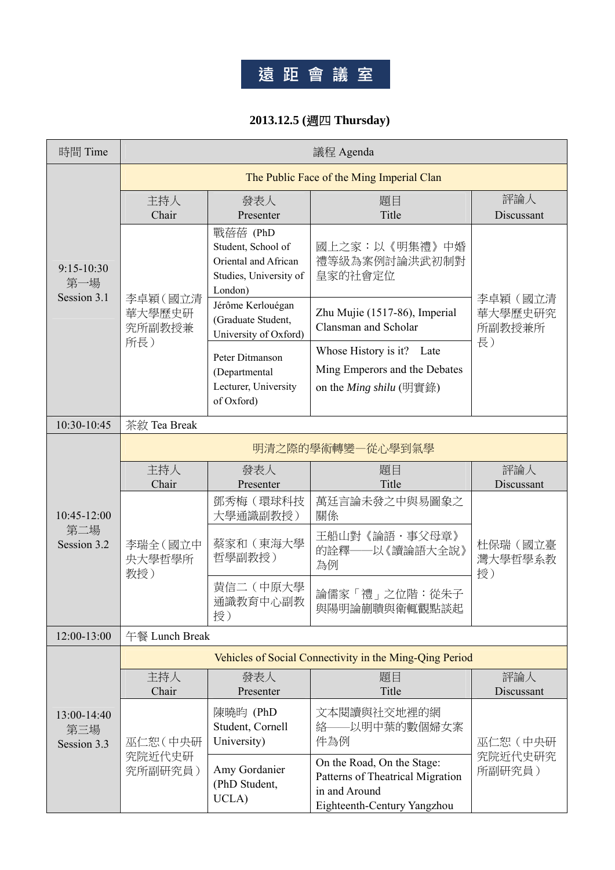# **遠 距 會 議 室**

#### **2013.12.5 (**週四 **Thursday)**

| 時間 Time                           | 議程 Agenda                   |                                                                                             |                                                                                                                |                               |  |  |
|-----------------------------------|-----------------------------|---------------------------------------------------------------------------------------------|----------------------------------------------------------------------------------------------------------------|-------------------------------|--|--|
|                                   |                             | The Public Face of the Ming Imperial Clan                                                   |                                                                                                                |                               |  |  |
| $9:15 - 10:30$<br>第一場             | 主持人<br>Chair                | 發表人<br>Presenter                                                                            | 題目<br>Title                                                                                                    | 評論人<br>Discussant             |  |  |
|                                   |                             | 戰蓓蓓 (PhD<br>Student, School of<br>Oriental and African<br>Studies, University of<br>London) | 國上之家:以《明集禮》中婚<br>禮等級為案例討論洪武初制對<br>皇家的社會定位                                                                      |                               |  |  |
| Session 3.1                       | 李卓穎(國立清<br>華大學歷史研<br>究所副教授兼 | Jérôme Kerlouégan<br>(Graduate Student,<br>University of Oxford)                            | Zhu Mujie (1517-86), Imperial<br>Clansman and Scholar                                                          | 李卓穎 (國立清<br>華大學歷史研究<br>所副教授兼所 |  |  |
|                                   | 所長)                         | Peter Ditmanson<br>(Departmental<br>Lecturer, University<br>of Oxford)                      | Whose History is it? Late<br>Ming Emperors and the Debates<br>on the Ming shilu (明實錄)                          | 長)                            |  |  |
| 10:30-10:45                       | 茶敘 Tea Break                |                                                                                             |                                                                                                                |                               |  |  |
|                                   | 明清之際的學術轉變一從心學到氣學            |                                                                                             |                                                                                                                |                               |  |  |
|                                   | 主持人<br>Chair                | 發表人<br>Presenter                                                                            | 題目<br>Title                                                                                                    | 評論人<br>Discussant             |  |  |
| 10:45-12:00                       | 李瑞全 (國立中<br>央大學哲學所<br>教授)   | 鄧秀梅(環球科技<br>大學通識副教授)                                                                        | 萬廷言論未發之中與易圖象之<br>關係                                                                                            |                               |  |  |
| 第二場<br>Session 3.2                |                             | 蔡家和(東海大學<br>哲學副教授)                                                                          | 王船山對《論語・事父母章》<br>的詮釋——以《讀論語大全說》<br>為例                                                                          | 杜保瑞(國立臺<br>灣大學哲學系教<br>授)      |  |  |
|                                   |                             | 黄信二(中原大學<br>通識教育中心副教<br>授)                                                                  | 論儒家「禮」之位階:從朱子<br>與陽明論蒯聵與衛輒觀點談起                                                                                 |                               |  |  |
| 12:00-13:00                       | 午餐 Lunch Break              |                                                                                             |                                                                                                                |                               |  |  |
|                                   |                             |                                                                                             | Vehicles of Social Connectivity in the Ming-Qing Period                                                        |                               |  |  |
|                                   | 主持人<br>Chair                | 發表人<br>Presenter                                                                            | 題目<br>Title                                                                                                    | 評論人<br>Discussant             |  |  |
| 13:00-14:40<br>第三場<br>Session 3.3 | 巫仁恕(中央研                     | 陳曉昀 (PhD<br>Student, Cornell<br>University)                                                 | 文本閱讀與社交地裡的網<br>絡––以明中葉的數個婦女案<br>件為例                                                                            | 巫仁恕(中央研                       |  |  |
|                                   | 究院近代史研<br>究所副研究員)           | Amy Gordanier<br>(PhD Student,<br>UCLA)                                                     | On the Road, On the Stage:<br>Patterns of Theatrical Migration<br>in and Around<br>Eighteenth-Century Yangzhou | 究院近代史研究<br>所副研究員)             |  |  |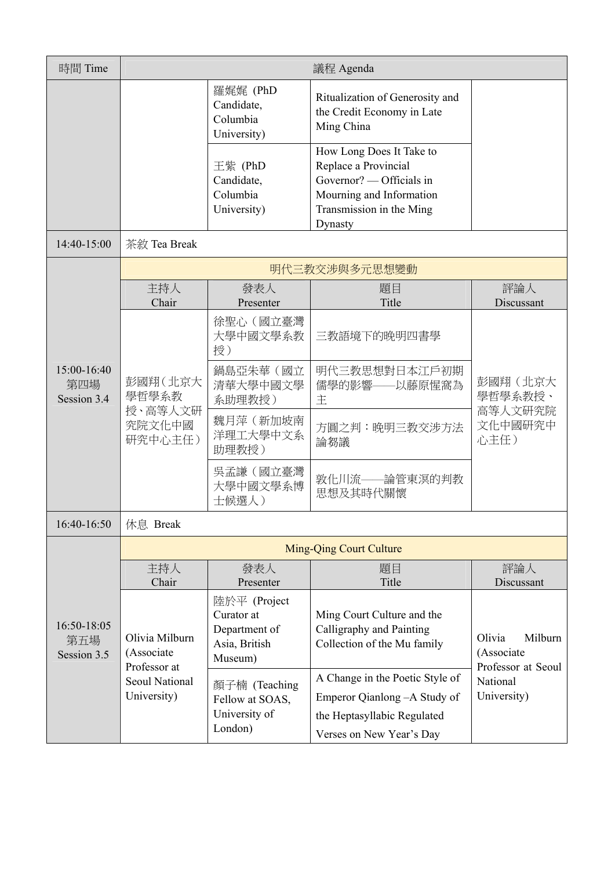| 時間 Time                           |                                                                                      |                                                                                                             | 議程 Agenda                                                                                                                                                 |                                                                                  |
|-----------------------------------|--------------------------------------------------------------------------------------|-------------------------------------------------------------------------------------------------------------|-----------------------------------------------------------------------------------------------------------------------------------------------------------|----------------------------------------------------------------------------------|
|                                   |                                                                                      | 羅娓娓 (PhD<br>Candidate,<br>Columbia<br>University)                                                           | Ritualization of Generosity and<br>the Credit Economy in Late<br>Ming China                                                                               |                                                                                  |
|                                   |                                                                                      | 王紫 (PhD<br>Candidate,<br>Columbia<br>University)                                                            | How Long Does It Take to<br>Replace a Provincial<br>Governor? — Officials in<br>Mourning and Information<br>Transmission in the Ming<br>Dynasty           |                                                                                  |
| 14:40-15:00                       | 茶敘 Tea Break                                                                         |                                                                                                             |                                                                                                                                                           |                                                                                  |
|                                   |                                                                                      |                                                                                                             | 明代三教交涉與多元思想變動                                                                                                                                             |                                                                                  |
|                                   | 主持人<br>Chair                                                                         | 發表人<br>Presenter                                                                                            | 題目<br>Title                                                                                                                                               | 評論人<br>Discussant                                                                |
|                                   | 彭國翔(北京大<br>學哲學系教<br>授、高等人文研<br>究院文化中國<br>研究中心主任)                                     | 徐聖心 (國立臺灣<br>大學中國文學系教<br>授)                                                                                 | 三教語境下的晚明四書學                                                                                                                                               | 彭國翔 (北京大<br>學哲學系教授、<br>高等人文研究院<br>文化中國研究中<br>心主任)                                |
| 15:00-16:40<br>第四場<br>Session 3.4 |                                                                                      | 鍋島亞朱華(國立<br>清華大學中國文學<br>系助理教授)                                                                              | 明代三教思想對日本江戶初期<br>儒學的影響——以藤原惺窩為<br>主                                                                                                                       |                                                                                  |
|                                   |                                                                                      | 魏月萍(新加坡南<br>洋理工大學中文系<br>助理教授)                                                                               | 方圓之判:晚明三教交涉方法<br>論芻議                                                                                                                                      |                                                                                  |
|                                   |                                                                                      | 吳孟謙(國立臺灣<br>大學中國文學系博<br>士候選人)                                                                               | 敦化川流——論管東溟的判教<br>思想及其時代關懷                                                                                                                                 |                                                                                  |
| 16:40-16:50                       | 休息 Break                                                                             |                                                                                                             |                                                                                                                                                           |                                                                                  |
|                                   |                                                                                      |                                                                                                             | <b>Ming-Qing Court Culture</b>                                                                                                                            |                                                                                  |
|                                   | 主持人<br>Chair                                                                         | 發表人<br>Presenter                                                                                            | 題目<br>Title                                                                                                                                               | 評論人<br>Discussant                                                                |
| 16:50-18:05<br>第五場<br>Session 3.5 | Olivia Milburn<br>(Associate<br>Professor at<br><b>Seoul National</b><br>University) | 陸於平 (Project<br>Curator at<br>Department of<br>Asia, British<br>Museum)<br>顏子楠 (Teaching<br>Fellow at SOAS, | Ming Court Culture and the<br>Calligraphy and Painting<br>Collection of the Mu family<br>A Change in the Poetic Style of<br>Emperor Qianlong - A Study of | Olivia<br>Milburn<br>(Associate<br>Professor at Seoul<br>National<br>University) |
|                                   |                                                                                      | University of<br>London)                                                                                    | the Heptasyllabic Regulated<br>Verses on New Year's Day                                                                                                   |                                                                                  |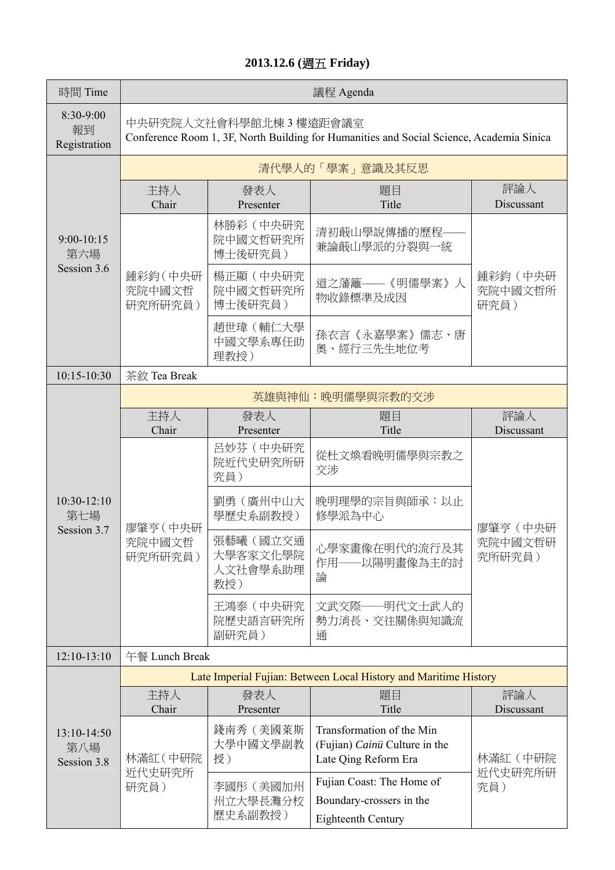#### **2013.12.6 (**週五 **Friday)**

| 時間 Time                           |                                                                                                                     |                                         | 議程 Agenda                                                                          |                               |
|-----------------------------------|---------------------------------------------------------------------------------------------------------------------|-----------------------------------------|------------------------------------------------------------------------------------|-------------------------------|
| 8:30-9:00<br>報到<br>Registration   | 中央研究院人文社會科學館北棟 3 樓遠距會議室<br>Conference Room 1, 3F, North Building for Humanities and Social Science, Academia Sinica |                                         |                                                                                    |                               |
|                                   |                                                                                                                     |                                         | 清代學人的「學案」意識及其反思                                                                    |                               |
|                                   | 主持人<br>Chair                                                                                                        | 發表人<br>Presenter                        | 題目<br>Title                                                                        | 評論人<br>Discussant             |
| 9:00-10:15<br>第六場                 |                                                                                                                     | 林勝彩 (中央研究<br>院中國文哲研究所<br>博士後研究員)        | 清初蕺山學說傳播的歷程-<br>兼論蕺山學派的分裂與一統                                                       |                               |
| Session 3.6                       | 鍾彩鈞(中央研<br>究院中國文哲<br>研究所研究員)                                                                                        | 楊正顯(中央研究<br>院中國文哲研究所<br>博士後研究員)         | 道之藩籬——《明儒學案》人<br>物收錄標準及成因                                                          | 鍾彩鈞(中央研<br>究院中國文哲所<br>研究員)    |
|                                   |                                                                                                                     | 趙世瑋(輔仁大學<br>中國文學系專任助<br>理教授)            | 孫衣言《永嘉學案》儒志、唐<br>奥、經行三先生地位考                                                        |                               |
| 10:15-10:30                       | 茶敘 Tea Break                                                                                                        |                                         |                                                                                    |                               |
|                                   | 英雄與神仙:晚明儒學與宗教的交涉                                                                                                    |                                         |                                                                                    |                               |
|                                   | 主持人<br>Chair                                                                                                        | 發表人<br>Presenter                        | 題目<br>Title                                                                        | 評論人<br>Discussant             |
|                                   | 廖肇亨 (中央研<br>究院中國文哲<br>研究所研究員)                                                                                       | 呂妙芬 (中央研究<br>院近代史研究所研<br>究員)            | 從杜文煥看晚明儒學與宗教之<br>交涉                                                                | 廖肇亨 (中央研<br>究院中國文哲研<br>究所研究員) |
| $10:30-12:10$<br>第七場              |                                                                                                                     | 劉勇(廣州中山大<br>學歷史系副教授)                    | 晚明理學的宗旨與師承:以止<br>修學派為中心                                                            |                               |
| Session 3.7                       |                                                                                                                     | 張藝曦(國立交通<br>大學客家文化學院<br>人文社會學系助理<br>教授) | 心學家畫像在明代的流行及其<br>-以陽明畫像為主的討<br>作用-<br>論                                            |                               |
|                                   |                                                                                                                     | 王鴻泰 (中央研究<br>院歷史語言研究所<br>副研究員)          | 文武交際——明代文士武人的<br>勢力消長、交往關係與知識流<br>通                                                |                               |
| $12:10-13:10$                     | 午餐 Lunch Break                                                                                                      |                                         |                                                                                    |                               |
|                                   |                                                                                                                     |                                         | Late Imperial Fujian: Between Local History and Maritime History                   |                               |
|                                   | 主持人<br>Chair                                                                                                        | 發表人<br>Presenter                        | 題目<br>Title                                                                        | 評論人<br>Discussant             |
| 13:10-14:50<br>第八場<br>Session 3.8 | 林滿紅 (中研院                                                                                                            | 錢南秀 (美國萊斯<br>大學中國文學副教<br>授)             | Transformation of the Min<br>(Fujian) Cainü Culture in the<br>Late Qing Reform Era | 林滿紅 (中研院<br>近代史研究所研<br>究員)    |
|                                   | 近代史研究所<br>研究員)                                                                                                      | 李國彤 (美國加州<br>州立大學長灘分校<br>歷史系副教授)        | Fujian Coast: The Home of<br>Boundary-crossers in the<br>Eighteenth Century        |                               |